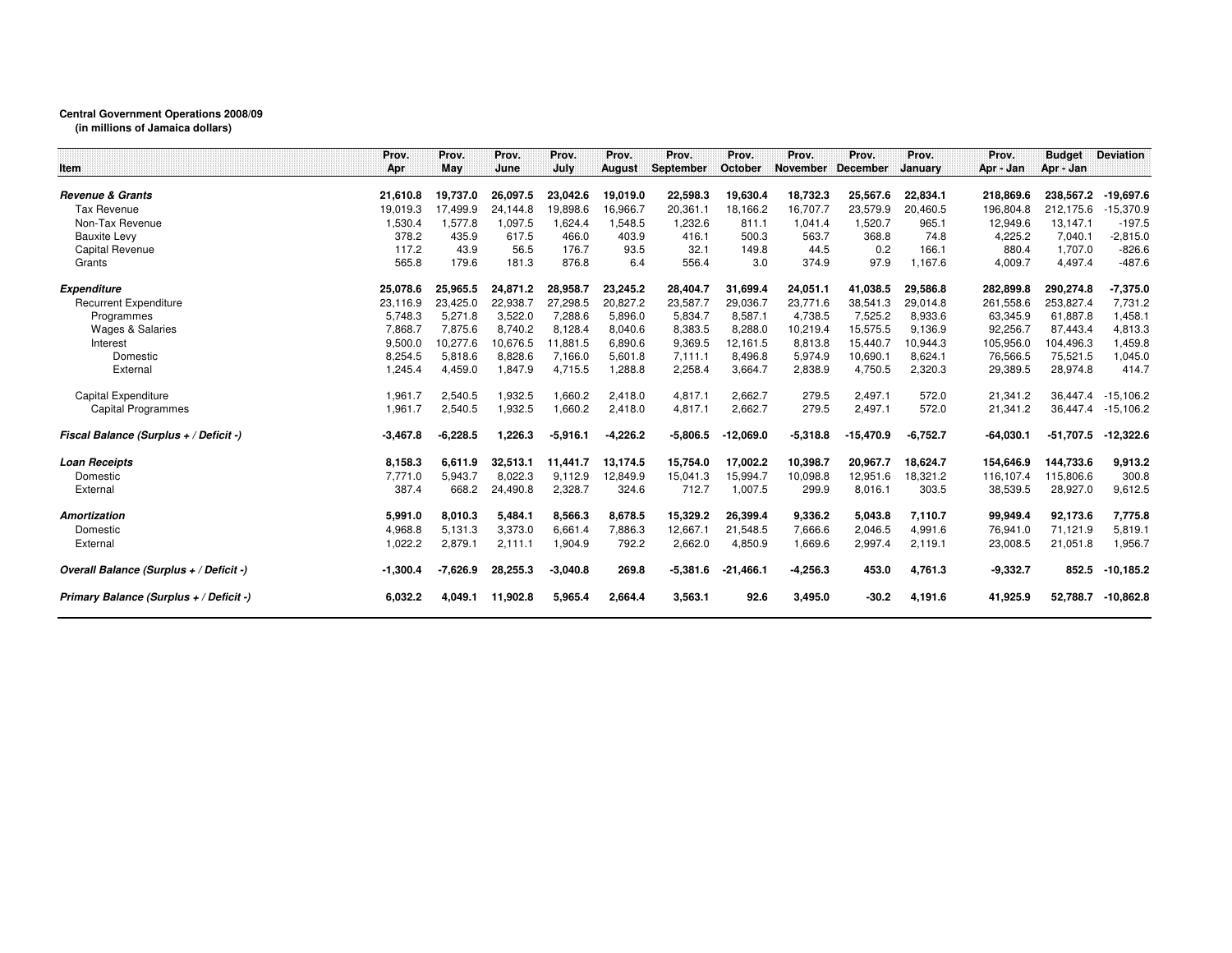## **Central Government Operations 2008/09**

**(in millions of Jamaica dollars)**

|                                         | Prov.      | Prov.      | Prov.    | Prov.      | Prov.         | Prov.      | Prov.       | Prov.      | Prov.           | Prov.      | Prov.       | <b>Budget</b> | <b>Deviation</b> |
|-----------------------------------------|------------|------------|----------|------------|---------------|------------|-------------|------------|-----------------|------------|-------------|---------------|------------------|
| Item                                    | Apr        | May        | June     | July       | <b>August</b> | September  | October     | November   | <b>December</b> | January    | Apr - Jan   | Apr - Jan     |                  |
| <b>Revenue &amp; Grants</b>             | 21.610.8   | 19.737.0   | 26,097.5 | 23,042.6   | 19,019.0      | 22,598.3   | 19,630.4    | 18,732.3   | 25,567.6        | 22,834.1   | 218,869.6   | 238,567.2     | $-19,697.6$      |
| <b>Tax Revenue</b>                      | 19.019.3   | 17.499.9   | 24.144.8 | 19.898.6   | 16,966.7      | 20,361.1   | 18,166.2    | 16,707.7   | 23,579.9        | 20,460.5   | 196,804.8   | 212.175.6     | $-15,370.9$      |
| Non-Tax Revenue                         | 1,530.4    | 1.577.8    | 1,097.5  | 1,624.4    | 1,548.5       | 1,232.6    | 811.1       | 1.041.4    | 1,520.7         | 965.1      | 12,949.6    | 13,147.1      | $-197.5$         |
| <b>Bauxite Levy</b>                     | 378.2      | 435.9      | 617.5    | 466.0      | 403.9         | 416.1      | 500.3       | 563.7      | 368.8           | 74.8       | 4,225.2     | 7,040.1       | $-2,815.0$       |
| Capital Revenue                         | 117.2      | 43.9       | 56.5     | 176.7      | 93.5          | 32.1       | 149.8       | 44.5       | 0.2             | 166.1      | 880.4       | 1,707.0       | $-826.6$         |
| Grants                                  | 565.8      | 179.6      | 181.3    | 876.8      | 6.4           | 556.4      | 3.0         | 374.9      | 97.9            | 1,167.6    | 4,009.7     | 4,497.4       | $-487.6$         |
| <b>Expenditure</b>                      | 25,078.6   | 25.965.5   | 24,871.2 | 28,958.7   | 23,245.2      | 28,404.7   | 31,699.4    | 24,051.1   | 41.038.5        | 29.586.8   | 282,899.8   | 290,274.8     | $-7,375.0$       |
| <b>Recurrent Expenditure</b>            | 23,116.9   | 23,425.0   | 22,938.7 | 27,298.5   | 20,827.2      | 23,587.7   | 29,036.7    | 23,771.6   | 38,541.3        | 29,014.8   | 261,558.6   | 253,827.4     | 7,731.2          |
| Programmes                              | 5.748.3    | 5.271.8    | 3.522.0  | 7,288.6    | 5,896.0       | 5,834.7    | 8,587.1     | 4,738.5    | 7.525.2         | 8,933.6    | 63,345.9    | 61,887.8      | 1,458.1          |
| <b>Wages &amp; Salaries</b>             | 7.868.7    | 7,875.6    | 8.740.2  | 8,128.4    | 8,040.6       | 8,383.5    | 8,288.0     | 10,219.4   | 15,575.5        | 9,136.9    | 92,256.7    | 87,443.4      | 4,813.3          |
| Interest                                | 9,500.0    | 10,277.6   | 10,676.5 | 11,881.5   | 6,890.6       | 9,369.5    | 12,161.5    | 8,813.8    | 15,440.7        | 10,944.3   | 105,956.0   | 104,496.3     | 1,459.8          |
| Domestic                                | 8,254.5    | 5,818.6    | 8,828.6  | 7,166.0    | 5,601.8       | 7,111.1    | 8,496.8     | 5,974.9    | 10,690.1        | 8,624.1    | 76,566.5    | 75,521.5      | 1,045.0          |
| External                                | 1,245.4    | 4,459.0    | 1,847.9  | 4,715.5    | 1,288.8       | 2,258.4    | 3,664.7     | 2,838.9    | 4,750.5         | 2,320.3    | 29,389.5    | 28,974.8      | 414.7            |
| Capital Expenditure                     | 1,961.7    | 2,540.5    | 1,932.5  | 1,660.2    | 2,418.0       | 4,817.1    | 2,662.7     | 279.5      | 2,497.1         | 572.0      | 21,341.2    | 36.447.4      | $-15.106.2$      |
| <b>Capital Programmes</b>               | 1,961.7    | 2,540.5    | 1,932.5  | 1,660.2    | 2,418.0       | 4,817.1    | 2,662.7     | 279.5      | 2,497.1         | 572.0      | 21,341.2    | 36,447.4      | $-15,106.2$      |
| Fiscal Balance (Surplus + / Deficit -)  | $-3,467.8$ | $-6,228.5$ | 1,226.3  | $-5,916.1$ | $-4,226.2$    | $-5,806.5$ | $-12,069.0$ | $-5,318.8$ | $-15,470.9$     | $-6,752.7$ | $-64,030.1$ | $-51,707.5$   | $-12,322.6$      |
| <b>Loan Receipts</b>                    | 8,158.3    | 6,611.9    | 32,513.1 | 11,441.7   | 13.174.5      | 15,754.0   | 17,002.2    | 10,398.7   | 20,967.7        | 18.624.7   | 154,646.9   | 144,733.6     | 9,913.2          |
| Domestic                                | 7,771.0    | 5,943.7    | 8,022.3  | 9,112.9    | 12,849.9      | 15,041.3   | 15,994.7    | 10,098.8   | 12,951.6        | 18,321.2   | 116,107.4   | 115,806.6     | 300.8            |
| External                                | 387.4      | 668.2      | 24,490.8 | 2,328.7    | 324.6         | 712.7      | 1,007.5     | 299.9      | 8,016.1         | 303.5      | 38,539.5    | 28,927.0      | 9,612.5          |
| <b>Amortization</b>                     | 5,991.0    | 8,010.3    | 5,484.1  | 8,566.3    | 8,678.5       | 15,329.2   | 26,399.4    | 9,336.2    | 5,043.8         | 7,110.7    | 99,949.4    | 92,173.6      | 7,775.8          |
| Domestic                                | 4,968.8    | 5,131.3    | 3,373.0  | 6,661.4    | 7,886.3       | 12,667.1   | 21,548.5    | 7,666.6    | 2,046.5         | 4,991.6    | 76,941.0    | 71,121.9      | 5,819.1          |
| External                                | 1,022.2    | 2,879.1    | 2,111.1  | 1,904.9    | 792.2         | 2,662.0    | 4,850.9     | 1,669.6    | 2,997.4         | 2,119.1    | 23,008.5    | 21,051.8      | 1,956.7          |
| Overall Balance (Surplus + / Deficit -) | $-1,300.4$ | $-7.626.9$ | 28,255.3 | $-3,040.8$ | 269.8         | $-5,381.6$ | $-21,466.1$ | $-4,256.3$ | 453.0           | 4,761.3    | $-9,332.7$  | 852.5         | $-10,185.2$      |
| Primary Balance (Surplus + / Deficit -) | 6,032.2    | 4,049.1    | 11,902.8 | 5,965.4    | 2,664.4       | 3,563.1    | 92.6        | 3,495.0    | $-30.2$         | 4,191.6    | 41,925.9    | 52,788.7      | $-10,862.8$      |